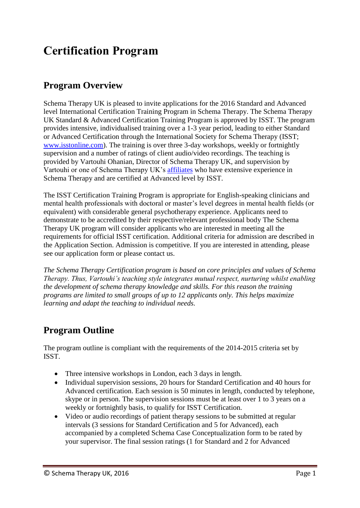# **Certification Program**

### **Program Overview**

Schema Therapy UK is pleased to invite applications for the 2016 Standard and Advanced level International Certification Training Program in Schema Therapy. The Schema Therapy UK Standard & Advanced Certification Training Program is approved by ISST. The program provides intensive, individualised training over a 1-3 year period, leading to either Standard or Advanced Certification through the International Society for Schema Therapy (ISST; [www.isstonline.com\)](http://www.isstonline.com/). The training is over three 3-day workshops, weekly or fortnightly supervision and a number of ratings of client audio/video recordings. The teaching is provided by Vartouhi Ohanian, Director of Schema Therapy UK, and supervision by Vartouhi or one of Schema Therapy UK's [affiliates](http://schema.validwebsolutions.co.uk/about/about-afiliates) who have extensive experience in Schema Therapy and are certified at Advanced level by ISST.

The ISST Certification Training Program is appropriate for English-speaking clinicians and mental health professionals with doctoral or master's level degrees in mental health fields (or equivalent) with considerable general psychotherapy experience. Applicants need to demonstrate to be accredited by their respective/relevant professional body The Schema Therapy UK program will consider applicants who are interested in meeting all the requirements for official ISST certification. Additional criteria for admission are described in the Application Section. Admission is competitive. If you are interested in attending, please see our application form or please contact us.

*The Schema Therapy Certification program is based on core principles and values of Schema Therapy. Thus, Vartouhi's teaching style integrates mutual respect, nurturing whilst enabling the development of schema therapy knowledge and skills. For this reason the training programs are limited to small groups of up to 12 applicants only. This helps maximize learning and adapt the teaching to individual needs.*

### **Program Outline**

The program outline is compliant with the requirements of the 2014-2015 criteria set by ISST.

- Three intensive workshops in London, each 3 days in length.
- Individual supervision sessions, 20 hours for Standard Certification and 40 hours for Advanced certification. Each session is 50 minutes in length, conducted by telephone, skype or in person. The supervision sessions must be at least over 1 to 3 years on a weekly or fortnightly basis, to qualify for ISST Certification.
- Video or audio recordings of patient therapy sessions to be submitted at regular intervals (3 sessions for Standard Certification and 5 for Advanced), each accompanied by a completed Schema Case Conceptualization form to be rated by your supervisor. The final session ratings (1 for Standard and 2 for Advanced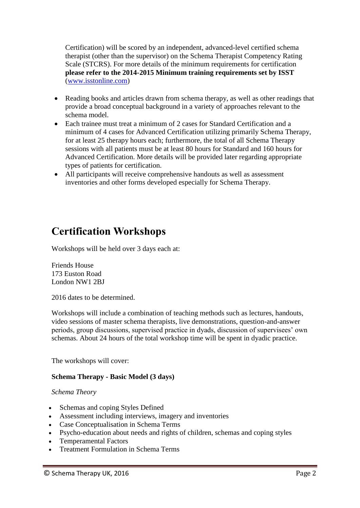Certification) will be scored by an independent, advanced-level certified schema therapist (other than the supervisor) on the Schema Therapist Competency Rating Scale (STCRS). For more details of the minimum requirements for certification **please refer to the 2014-2015 Minimum training requirements set by ISST** [\(www.isstonline.com\)](http://www.isstonline.com/)

- Reading books and articles drawn from schema therapy, as well as other readings that provide a broad conceptual background in a variety of approaches relevant to the schema model.
- Each trainee must treat a minimum of 2 cases for Standard Certification and a minimum of 4 cases for Advanced Certification utilizing primarily Schema Therapy, for at least 25 therapy hours each; furthermore, the total of all Schema Therapy sessions with all patients must be at least 80 hours for Standard and 160 hours for Advanced Certification. More details will be provided later regarding appropriate types of patients for certification.
- All participants will receive comprehensive handouts as well as assessment inventories and other forms developed especially for Schema Therapy.

## **Certification Workshops**

Workshops will be held over 3 days each at:

Friends House 173 Euston Road London NW1 2BJ

2016 dates to be determined.

Workshops will include a combination of teaching methods such as lectures, handouts, video sessions of master schema therapists, live demonstrations, question-and-answer periods, group discussions, supervised practice in dyads, discussion of supervisees' own schemas. About 24 hours of the total workshop time will be spent in dyadic practice.

The workshops will cover:

#### **Schema Therapy - Basic Model (3 days)**

#### *Schema Theory*

- Schemas and coping Styles Defined
- Assessment including interviews, imagery and inventories
- Case Conceptualisation in Schema Terms
- Psycho-education about needs and rights of children, schemas and coping styles
- Temperamental Factors
- Treatment Formulation in Schema Terms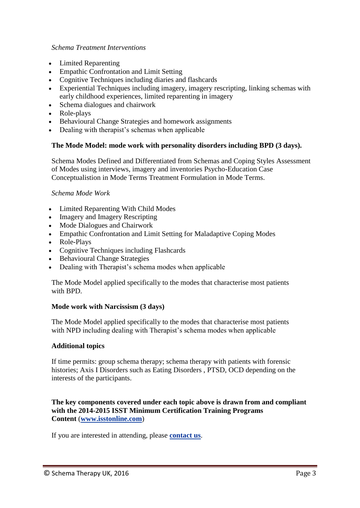#### *Schema Treatment Interventions*

- Limited Reparenting
- Empathic Confrontation and Limit Setting
- Cognitive Techniques including diaries and flashcards
- Experiential Techniques including imagery, imagery rescripting, linking schemas with early childhood experiences, limited reparenting in imagery
- Schema dialogues and chairwork
- Role-plays
- Behavioural Change Strategies and homework assignments
- Dealing with therapist's schemas when applicable

#### **The Mode Model: mode work with personality disorders including BPD (3 days).**

Schema Modes Defined and Differentiated from Schemas and Coping Styles Assessment of Modes using interviews, imagery and inventories Psycho-Education Case Conceptualistion in Mode Terms Treatment Formulation in Mode Terms.

#### *Schema Mode Work*

- Limited Reparenting With Child Modes
- Imagery and Imagery Rescripting
- Mode Dialogues and Chairwork
- Empathic Confrontation and Limit Setting for Maladaptive Coping Modes
- Role-Plays
- Cognitive Techniques including Flashcards
- Behavioural Change Strategies
- Dealing with Therapist's schema modes when applicable

The Mode Model applied specifically to the modes that characterise most patients with BPD.

#### **Mode work with Narcissism (3 days)**

The Mode Model applied specifically to the modes that characterise most patients with NPD including dealing with Therapist's schema modes when applicable

#### **Additional topics**

If time permits: group schema therapy; schema therapy with patients with forensic histories; Axis I Disorders such as Eating Disorders , PTSD, OCD depending on the interests of the participants.

**The key components covered under each topic above is drawn from and compliant with the 2014-2015 ISST Minimum Certification Training Programs Content** (**[www.isstonline.com](http://www.isstonline.com/)**)

If you are interested in attending, please **[contact us](http://www.schematherapyuk.com/contact)**.